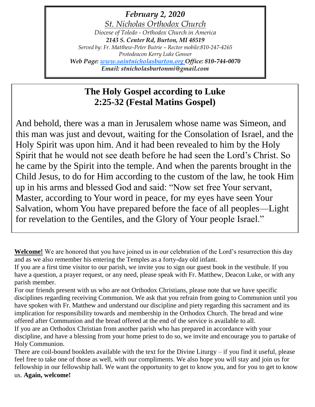*February 2, 2020 St. Nicholas Orthodox Church Diocese of Toledo - Orthodox Church in America 2143 S. Center Rd, Burton, MI 48519 Served by: Fr. Matthew-Peter Butrie – Rector mobile:810-247-4265 Protodeacon Kerry Luke Gonser Web Page: [www.saintnicholasburton.org](http://www.saintnicholasburton.org/) Office: 810-744-0070 Email: stnicholasburtonmi@gmail.com*

# **The Holy Gospel according to Luke 2:25-32 (Festal Matins Gospel)**

And behold, there was a man in Jerusalem whose name was Simeon, and this man was just and devout, waiting for the Consolation of Israel, and the Holy Spirit was upon him. And it had been revealed to him by the Holy Spirit that he would not see death before he had seen the Lord's Christ. So he came by the Spirit into the temple. And when the parents brought in the Child Jesus, to do for Him according to the custom of the law, he took Him up in his arms and blessed God and said: "Now set free Your servant, Master, according to Your word in peace, for my eyes have seen Your Salvation, whom You have prepared before the face of all peoples—Light for revelation to the Gentiles, and the Glory of Your people Israel."

**Welcome!** We are honored that you have joined us in our celebration of the Lord's resurrection this day and as we also remember his entering the Temples as a forty-day old infant.

If you are a first time visitor to our parish, we invite you to sign our guest book in the vestibule. If you have a question, a prayer request, or any need, please speak with Fr. Matthew, Deacon Luke, or with any parish member.

For our friends present with us who are not Orthodox Christians, please note that we have specific disciplines regarding receiving Communion. We ask that you refrain from going to Communion until you have spoken with Fr. Matthew and understand our discipline and piety regarding this sacrament and its implication for responsibility towards and membership in the Orthodox Church. The bread and wine offered after Communion and the bread offered at the end of the service is available to all.

If you are an Orthodox Christian from another parish who has prepared in accordance with your discipline, and have a blessing from your home priest to do so, we invite and encourage you to partake of Holy Communion.

There are coil-bound booklets available with the text for the Divine Liturgy – if you find it useful, please feel free to take one of those as well, with our compliments. We also hope you will stay and join us for fellowship in our fellowship hall. We want the opportunity to get to know you, and for you to get to know us. **Again, welcome!**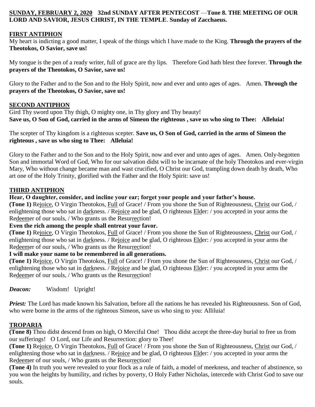## **SUNDAY, FEBRUARY 2, 2020 32nd SUNDAY AFTER PENTECOST** —**Tone 8. THE MEETING OF OUR LORD AND SAVIOR, JESUS CHRIST, IN THE TEMPLE**. **Sunday of Zacchaeus.**

## **FIRST ANTIPHON**

My heart is indicting a good matter, I speak of the things which I have made to the King. **Through the prayers of the Theotokos, O Savior, save us!**

My tongue is the pen of a ready writer, full of grace are thy lips. Therefore God hath blest thee forever. **Through the prayers of the Theotokos, O Savior, save us!**

Glory to the Father and to the Son and to the Holy Spirit, now and ever and unto ages of ages. Amen. **Through the prayers of the Theotokos, O Savior, save us!**

### **SECOND ANTIPHON**

Gird Thy sword upon Thy thigh, O mighty one, in Thy glory and Thy beauty! **Save us, O Son of God, carried in the arms of Simeon the righteous , save us who sing to Thee: Alleluia!**

The scepter of Thy kingdom is a righteous scepter. **Save us, O Son of God, carried in the arms of Simeon the righteous , save us who sing to Thee: Alleluia!**

Glory to the Father and to the Son and to the Holy Spirit, now and ever and unto ages of ages. Amen. Only-begotten Son and immortal Word of God, Who for our salvation didst will to be incarnate of the holy Theotokos and ever-virgin Mary, Who without change became man and wast crucified, O Christ our God, trampling down death by death, Who art one of the Holy Trinity, glorified with the Father and the Holy Spirit: save us!

### **THIRD ANTIPHON**

### **Hear, O daughter, consider, and incline your ear; forget your people and your father's house.**

**(Tone 1)** Rejoice, O Virgin Theotokos, Full of Grace! / From you shone the Sun of Righteousness, Christ our God, / enlightening those who sat in darkness. / Rejoice and be glad, O righteous Elder: / you accepted in your arms the Redeemer of our souls, / Who grants us the Resurrection!

#### **Even the rich among the people shall entreat your favor.**

**(Tone 1)** Rejoice, O Virgin Theotokos, Full of Grace! / From you shone the Sun of Righteousness, Christ our God, / enlightening those who sat in darkness. / Rejoice and be glad, O righteous Elder: / you accepted in your arms the Redeemer of our souls, / Who grants us the Resurrection!

#### **I will make your name to be remembered in all generations.**

**(Tone 1)** Rejoice, O Virgin Theotokos, Full of Grace! / From you shone the Sun of Righteousness, Christ our God, / enlightening those who sat in darkness. / Rejoice and be glad, O righteous Elder: / you accepted in your arms the Redeemer of our souls, / Who grants us the Resurrection!

*Deacon:* Wisdom! Upright!

*Priest:* The Lord has made known his Salvation, before all the nations he has revealed his Righteousness. Son of God, who were borne in the arms of the righteous Simeon, save us who sing to you: Alliluia!

### **TROPARIA**

**(Tone 8)** Thou didst descend from on high, O Merciful One! Thou didst accept the three-day burial to free us from our sufferings! O Lord, our Life and Resurrection: glory to Thee!

**(Tone 1)** Rejoice, O Virgin Theotokos, Full of Grace! / From you shone the Sun of Righteousness, Christ our God, / enlightening those who sat in darkness. / Rejoice and be glad, O righteous Elder: / you accepted in your arms the Redeemer of our souls, / Who grants us the Resurrection!

**(Tone 4)** In truth you were revealed to your flock as a rule of faith, a model of meekness, and teacher of abstinence, so you won the heights by humility, and riches by poverty, O Holy Father Nicholas, intercede with Christ God to save our souls.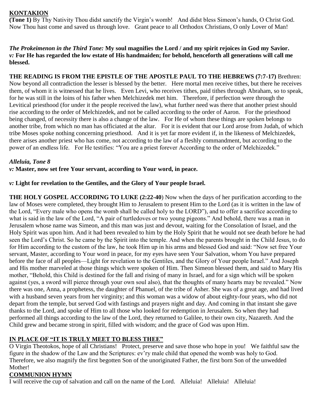## **KONTAKION**

**(Tone 1)** By Thy Nativity Thou didst sanctify the Virgin's womb! And didst bless Simeon's hands, O Christ God. Now Thou hast come and saved us through love. Grant peace to all Orthodox Christians, O only Lover of Man!

### *The Prokeimenon in the Third Tone:* **My soul magnifies the Lord / and my spirit rejoices in God my Savior.** *v:* **For He has regarded the low estate of His handmaiden; for behold, henceforth all generations will call me blessed.**

**THE READING IS FROM THE EPISTLE OF THE APOSTLE PAUL TO THE HEBREWS (7:7-17)** Brethren: Now beyond all contradiction the lesser is blessed by the better. Here mortal men receive tithes, but there he receives them, of whom it is witnessed that he lives. Even Levi, who receives tithes, paid tithes through Abraham, so to speak, for he was still in the loins of his father when Melchizedek met him. Therefore, if perfection were through the Levitical priesthood (for under it the people received the law), what further need was there that another priest should rise according to the order of Melchizedek, and not be called according to the order of Aaron. For the priesthood being changed, of necessity there is also a change of the law. For He of whom these things are spoken belongs to another tribe, from which no man has officiated at the altar. For it is evident that our Lord arose from Judah, of which tribe Moses spoke nothing concerning priesthood. And it is yet far more evident if, in the likeness of Melchizedek, there arises another priest who has come, not according to the law of a fleshly commandment, but according to the power of an endless life. For He testifies: "You are a priest forever According to the order of Melchizedek."

#### *Alleluia, Tone 8*

*v:* **Master, now set free Your servant, according to Your word, in peace.**

#### *v:* **Light for revelation to the Gentiles, and the Glory of Your people Israel.**

**THE HOLY GOSPEL ACCORDING TO LUKE (2:22-40**) Now when the days of her purification according to the law of Moses were completed, they brought Him to Jerusalem to present Him to the Lord (as it is written in the law of the Lord, "Every male who opens the womb shall be called holy to the LORD"), and to offer a sacrifice according to what is said in the law of the Lord, "A pair of turtledoves or two young pigeons." And behold, there was a man in Jerusalem whose name was Simeon, and this man was just and devout, waiting for the Consolation of Israel, and the Holy Spirit was upon him. And it had been revealed to him by the Holy Spirit that he would not see death before he had seen the Lord's Christ. So he came by the Spirit into the temple. And when the parents brought in the Child Jesus, to do for Him according to the custom of the law, he took Him up in his arms and blessed God and said: "Now set free Your servant, Master, according to Your word in peace, for my eyes have seen Your Salvation, whom You have prepared before the face of all peoples—Light for revelation to the Gentiles, and the Glory of Your people Israel." And Joseph and His mother marveled at those things which were spoken of Him. Then Simeon blessed them, and said to Mary His mother, "Behold, this Child is destined for the fall and rising of many in Israel, and for a sign which will be spoken against (yes, a sword will pierce through your own soul also), that the thoughts of many hearts may be revealed." Now there was one, Anna, a prophetess, the daughter of Phanuel, of the tribe of Asher. She was of a great age, and had lived with a husband seven years from her virginity; and this woman was a widow of about eighty-four years, who did not depart from the temple, but served God with fastings and prayers night and day. And coming in that instant she gave thanks to the Lord, and spoke of Him to all those who looked for redemption in Jerusalem. So when they had performed all things according to the law of the Lord, they returned to Galilee, to their own city, Nazareth. And the Child grew and became strong in spirit, filled with wisdom; and the grace of God was upon Him.

## **IN PLACE OF "IT IS TRULY MEET TO BLESS THEE"**

O Virgin Theotokos, hope of all Christians! Protect, preserve and save those who hope in you! We faithful saw the figure in the shadow of the Law and the Scriptures: ev'ry male child that opened the womb was holy to God. Therefore, we also magnify the first begotten Son of the unoriginated Father, the first born Son of the unwedded Mother!

## **COMMUNION HYMN**

I will receive the cup of salvation and call on the name of the Lord. Alleluia! Alleluia! Alleluia!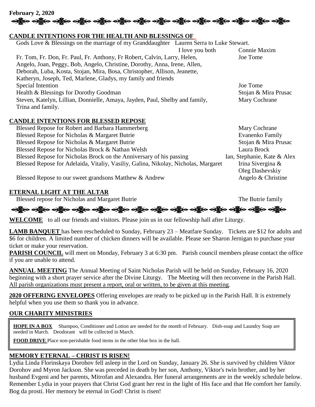

### **CANDLE INTENTIONS FOR THE HEALTH AND BLESSINGS OF**

| Gods Love & Blessings on the marriage of my Granddaughter Lauren Serra to Luke Stewart.       |  |  |  |
|-----------------------------------------------------------------------------------------------|--|--|--|
| Connie Maxim<br>I love you both                                                               |  |  |  |
| Fr. Tom, Fr. Don, Fr. Paul, Fr. Anthony, Fr Robert, Calvin, Larry, Helen,<br>Joe Tome         |  |  |  |
| Angelo, Joan, Peggy, Bob, Angelo, Christine, Dorothy, Anna, Irene, Allen,                     |  |  |  |
| Deborah, Luba, Kosta, Stojan, Mira, Bosa, Christopher, Allison, Jeanette,                     |  |  |  |
|                                                                                               |  |  |  |
| Joe Tome                                                                                      |  |  |  |
| Stojan & Mira Prusac                                                                          |  |  |  |
| Steven, Katelyn, Lillian, Donnielle, Amaya, Jayden, Paul, Shelby and family,<br>Mary Cochrane |  |  |  |
|                                                                                               |  |  |  |

### **CANDLE INTENTIONS FOR BLESSED REPOSE**

| Blessed Repose for Robert and Barbara Hammerberg                                   | Mary Cochrane               |
|------------------------------------------------------------------------------------|-----------------------------|
| Blessed Repose for Nicholas & Margaret Butrie                                      | Evanenko Family             |
| Blessed Repose for Nicholas & Margaret Butrie                                      | Stojan & Mira Prusac        |
| Blessed Repose for Nicholas Brock & Nathan Welsh                                   | Laura Brock                 |
| Blessed Repose for Nicholas Brock on the Anniversary of his passing                | Ian, Stephanie, Kate & Alex |
| Blessed Repose for Adelaida, Vitaliy, Vasiliy, Galina, Nikolay, Nicholas, Margaret | Irina Sivergina &           |
|                                                                                    | Oleg Dashevskiy             |

Blessed Repose to our sweet grandsons Matthew & Andrew Angelo & Christine

## **ETERNAL LIGHT AT THE ALTAR**

Blessed repose for Nicholas and Margaret Butrie The Butrie The Butrie family

# ခရွို့လ ခရွို့လ ခရွို့လ ခရွို့လ ခရွို့လ ခရွို့လ ခရွို့လ ခရွို့လ ခရွို့လ ခရွို့လ ခရွို့လ ခရွို့လ ခရွို့လ ခရွို့

**WELCOME** to all our friends and visitors. Please join us in our fellowship hall after Liturgy.

**LAMB BANQUET** has been rescheduled to Sunday, February 23 – Meatfare Sunday. Tickets are \$12 for adults and \$6 for children. A limited number of chicken dinners will be available. Please see Sharon Jernigan to purchase your ticket or make your reservation.

**PARISH COUNCIL** will meet on Monday, February 3 at 6:30 pm. Parish council members please contact the office if you are unable to attend.

**ANNUAL MEETING** The Annual Meeting of Saint Nicholas Parish will be held on Sunday, February 16, 2020 beginning with a short prayer service after the Divine Liturgy. The Meeting will then reconvene in the Parish Hall. All parish organizations must present a report, oral or written, to be given at this meeting.

**2020 OFFERING ENVELOPES** Offering envelopes are ready to be picked up in the Parish Hall. It is extremely helpful when you use them so thank you in advance.

## **OUR CHARITY MINISTRIES**

**HOPE IN A BOX** Shampoo, Conditioner and Lotion are needed for the month of February. Dish-soap and Laundry Soap are needed in March. Deodorant will be collected in March.

**FOOD DRIVE** Place non-perishable food items in the other blue box in the hall.

# **MEMORY ETERNAL – CHRIST IS RISEN!**

Lydia Linda Florinskaya Dorohov fell asleep in the Lord on Sunday, January 26. She is survived by children Viktor Dorohov and Myron Jackson. She was preceded in death by her son, Anthony, Viktor's twin brother, and by her husband Evgeni and her parents, Mitrofan and Alexandra. Her funeral arrangements are in the weekly schedule below. Remember Lydia in your prayers that Christ God grant her rest in the light of His face and that He comfort her family. Bog da prosti. Her memory be eternal in God! Christ is risen!